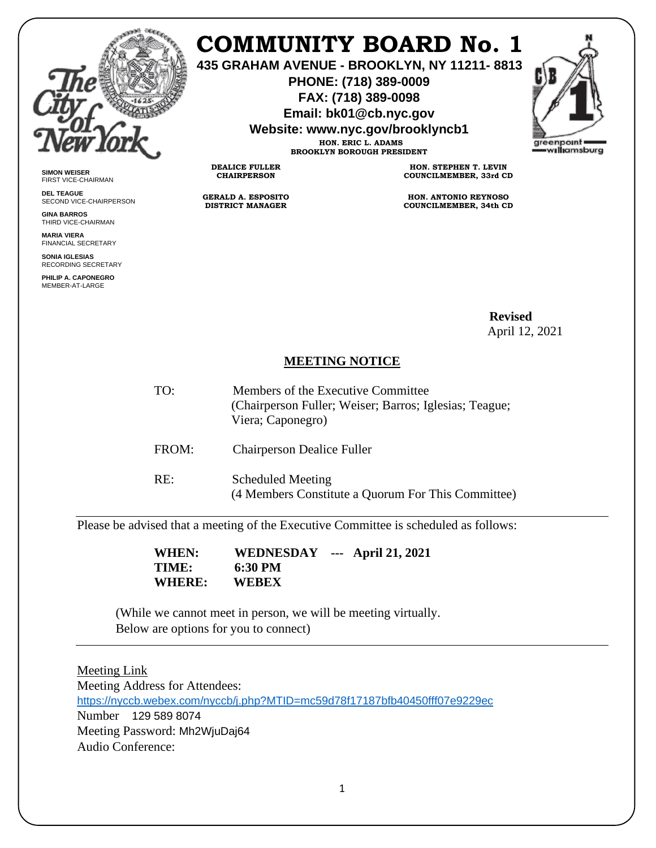

**SIMON WEISER** FIRST VICE-CHAIRMAN **DEL TEAGUE**

**GINA BARROS** THIRD VICE-CHAIRMAN **MARIA VIERA** FINANCIAL SECRETARY **SONIA IGLESIAS** RECORDING SECRETARY **PHILIP A. CAPONEGRO** MEMBER-AT-LARGE

SECOND VICE-CHAIRPERSON

## **COMMUNITY BOARD No. 1**

**435 GRAHAM AVENUE - BROOKLYN, NY 11211- 8813**

**PHONE: (718) 389-0009 FAX: (718) 389-0098**

**Email: bk01@cb.nyc.gov**

**Website: www.nyc.gov/brooklyncb1**



**HON. ERIC L. ADAMS BROOKLYN BOROUGH PRESIDENT**

**DEALICE FULLER CHAIRPERSON**

**GERALD A. ESPOSITO DISTRICT MANAGER**

**HON. STEPHEN T. LEVIN COUNCILMEMBER, 33rd CD**

**HON. ANTONIO REYNOSO COUNCILMEMBER, 34th CD**

 **Revised**  April 12, 2021

## **MEETING NOTICE**

TO: Members of the Executive Committee (Chairperson Fuller; Weiser; Barros; Iglesias; Teague; Viera; Caponegro) FROM: Chairperson Dealice Fuller

RE: Scheduled Meeting (4 Members Constitute a Quorum For This Committee)

Please be advised that a meeting of the Executive Committee is scheduled as follows:

 **WHEN: WEDNESDAY --- April 21, 2021 TIME:** 6:30 PM<br>WHERE: WEBEX **WHERE:** 

(While we cannot meet in person, we will be meeting virtually. Below are options for you to connect)

## Meeting Link

Meeting Address for Attendees: <https://nyccb.webex.com/nyccb/j.php?MTID=mc59d78f17187bfb40450fff07e9229ec> Number 129 589 8074 Meeting Password: Mh2WjuDaj64 Audio Conference: